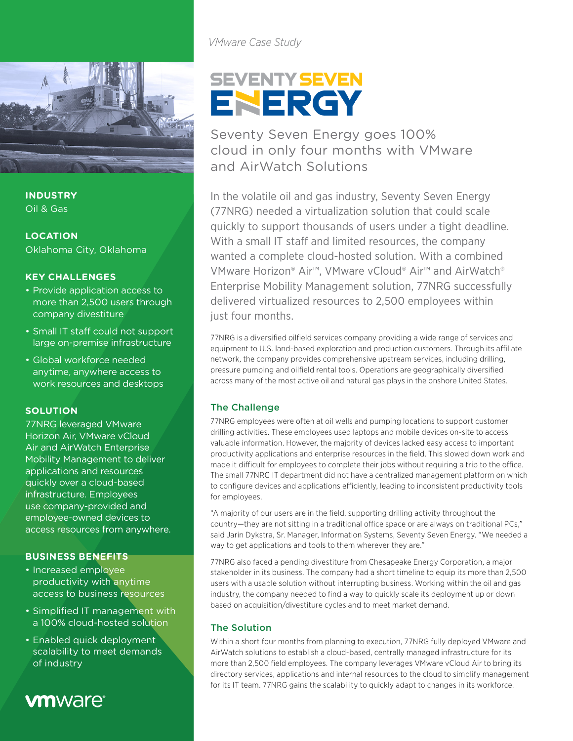

**INDUSTRY** Oil & Gas

**LOCATION** Oklahoma City, Oklahoma

#### **KEY CHALLENGES**

- Provide application access to more than 2,500 users through company divestiture
- Small IT staff could not support large on-premise infrastructure
- Global workforce needed anytime, anywhere access to work resources and desktops

### **SOLUTION**

77NRG leveraged VMware Horizon Air, VMware vCloud Air and AirWatch Enterprise Mobility Management to deliver applications and resources quickly over a cloud-based infrastructure. Employees use company-provided and employee-owned devices to access resources from anywhere.

#### **BUSINESS BENEFITS**

- Increased employee productivity with anytime access to business resources
- Simplified IT management with a 100% cloud-hosted solution
- Enabled quick deployment scalability to meet demands of industry

# **vm**ware<sup>®</sup>

*VMware Case Study*

# **SEVENTY SEVEN** ENERGY

Seventy Seven Energy goes 100% cloud in only four months with VMware and AirWatch Solutions

In the volatile oil and gas industry, Seventy Seven Energy (77NRG) needed a virtualization solution that could scale quickly to support thousands of users under a tight deadline. With a small IT staff and limited resources, the company wanted a complete cloud-hosted solution. With a combined VMware Horizon® Air™, VMware vCloud® Air™ and AirWatch® Enterprise Mobility Management solution, 77NRG successfully delivered virtualized resources to 2,500 employees within just four months.

77NRG is a diversified oilfield services company providing a wide range of services and equipment to U.S. land-based exploration and production customers. Through its affiliate network, the company provides comprehensive upstream services, including drilling, pressure pumping and oilfield rental tools. Operations are geographically diversified across many of the most active oil and natural gas plays in the onshore United States.

#### The Challenge

77NRG employees were often at oil wells and pumping locations to support customer drilling activities. These employees used laptops and mobile devices on-site to access valuable information. However, the majority of devices lacked easy access to important productivity applications and enterprise resources in the field. This slowed down work and made it difficult for employees to complete their jobs without requiring a trip to the office. The small 77NRG IT department did not have a centralized management platform on which to configure devices and applications efficiently, leading to inconsistent productivity tools for employees.

"A majority of our users are in the field, supporting drilling activity throughout the country—they are not sitting in a traditional office space or are always on traditional PCs," said Jarin Dykstra, Sr. Manager, Information Systems, Seventy Seven Energy. "We needed a way to get applications and tools to them wherever they are."

77NRG also faced a pending divestiture from Chesapeake Energy Corporation, a major stakeholder in its business. The company had a short timeline to equip its more than 2,500 users with a usable solution without interrupting business. Working within the oil and gas industry, the company needed to find a way to quickly scale its deployment up or down based on acquisition/divestiture cycles and to meet market demand.

#### The Solution

Within a short four months from planning to execution, 77NRG fully deployed VMware and AirWatch solutions to establish a cloud-based, centrally managed infrastructure for its more than 2,500 field employees. The company leverages VMware vCloud Air to bring its directory services, applications and internal resources to the cloud to simplify management for its IT team. 77NRG gains the scalability to quickly adapt to changes in its workforce.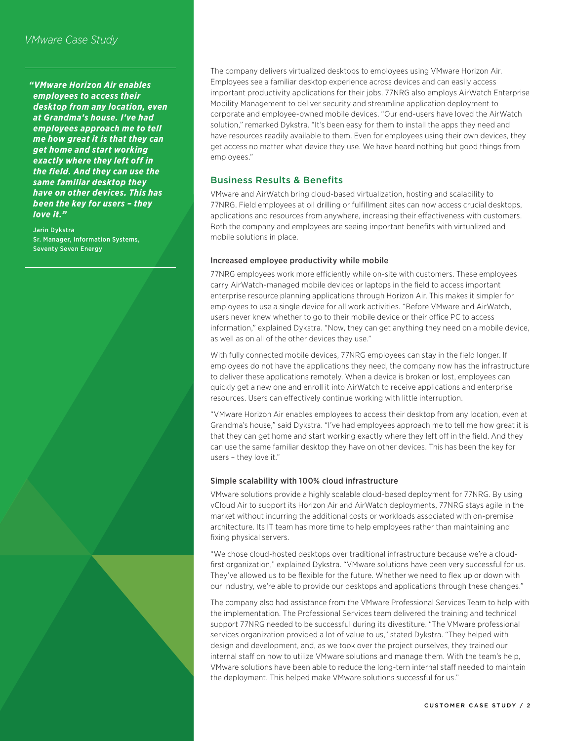# *VMware Case Study*

*"VMware Horizon Air enables employees to access their desktop from any location, even at Grandma's house. I've had employees approach me to tell me how great it is that they can get home and start working exactly where they left off in the field. And they can use the same familiar desktop they have on other devices. This has been the key for users – they love it."*

Jarin Dykstra Sr. Manager, Information Systems, Seventy Seven Energy

The company delivers virtualized desktops to employees using VMware Horizon Air. Employees see a familiar desktop experience across devices and can easily access important productivity applications for their jobs. 77NRG also employs AirWatch Enterprise Mobility Management to deliver security and streamline application deployment to corporate and employee-owned mobile devices. "Our end-users have loved the AirWatch solution," remarked Dykstra. "It's been easy for them to install the apps they need and have resources readily available to them. Even for employees using their own devices, they get access no matter what device they use. We have heard nothing but good things from employees."

#### Business Results & Benefits

VMware and AirWatch bring cloud-based virtualization, hosting and scalability to 77NRG. Field employees at oil drilling or fulfillment sites can now access crucial desktops, applications and resources from anywhere, increasing their effectiveness with customers. Both the company and employees are seeing important benefits with virtualized and mobile solutions in place.

#### Increased employee productivity while mobile

77NRG employees work more efficiently while on-site with customers. These employees carry AirWatch-managed mobile devices or laptops in the field to access important enterprise resource planning applications through Horizon Air. This makes it simpler for employees to use a single device for all work activities. "Before VMware and AirWatch, users never knew whether to go to their mobile device or their office PC to access information," explained Dykstra. "Now, they can get anything they need on a mobile device, as well as on all of the other devices they use."

With fully connected mobile devices, 77NRG employees can stay in the field longer. If employees do not have the applications they need, the company now has the infrastructure to deliver these applications remotely. When a device is broken or lost, employees can quickly get a new one and enroll it into AirWatch to receive applications and enterprise resources. Users can effectively continue working with little interruption.

"VMware Horizon Air enables employees to access their desktop from any location, even at Grandma's house," said Dykstra. "I've had employees approach me to tell me how great it is that they can get home and start working exactly where they left off in the field. And they can use the same familiar desktop they have on other devices. This has been the key for users – they love it."

#### Simple scalability with 100% cloud infrastructure

VMware solutions provide a highly scalable cloud-based deployment for 77NRG. By using vCloud Air to support its Horizon Air and AirWatch deployments, 77NRG stays agile in the market without incurring the additional costs or workloads associated with on-premise architecture. Its IT team has more time to help employees rather than maintaining and fixing physical servers.

"We chose cloud-hosted desktops over traditional infrastructure because we're a cloudfirst organization," explained Dykstra. "VMware solutions have been very successful for us. They've allowed us to be flexible for the future. Whether we need to flex up or down with our industry, we're able to provide our desktops and applications through these changes."

The company also had assistance from the VMware Professional Services Team to help with the implementation. The Professional Services team delivered the training and technical support 77NRG needed to be successful during its divestiture. "The VMware professional services organization provided a lot of value to us," stated Dykstra. "They helped with design and development, and, as we took over the project ourselves, they trained our internal staff on how to utilize VMware solutions and manage them. With the team's help, VMware solutions have been able to reduce the long-tern internal staff needed to maintain the deployment. This helped make VMware solutions successful for us."